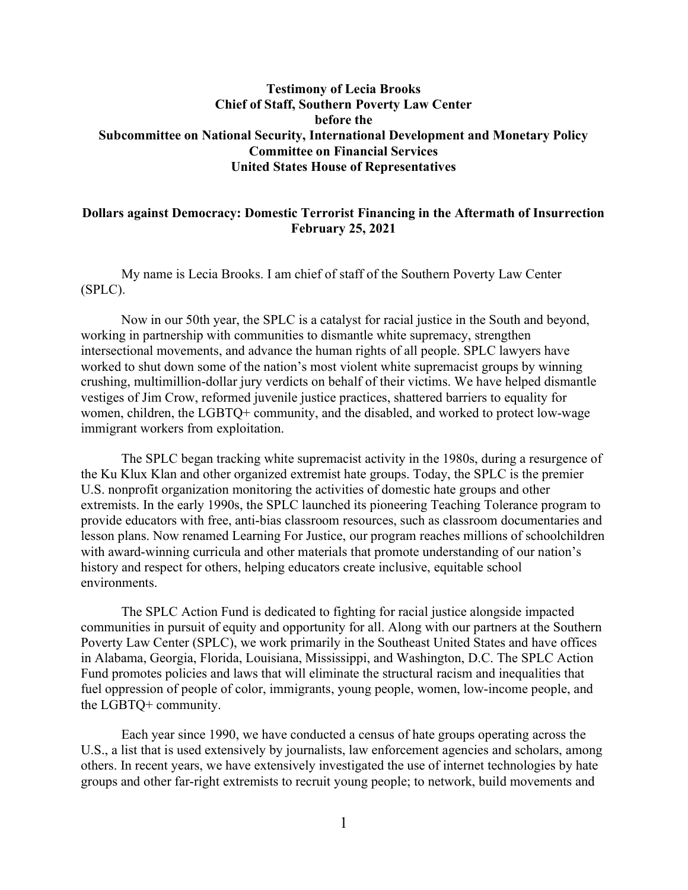# Testimony of Lecia Brooks Chief of Staff, Southern Poverty Law Center before the Subcommittee on National Security, International Development and Monetary Policy Committee on Financial Services United States House of Representatives

### Dollars against Democracy: Domestic Terrorist Financing in the Aftermath of Insurrection February 25, 2021

My name is Lecia Brooks. I am chief of staff of the Southern Poverty Law Center (SPLC).

 Now in our 50th year, the SPLC is a catalyst for racial justice in the South and beyond, working in partnership with communities to dismantle white supremacy, strengthen intersectional movements, and advance the human rights of all people. SPLC lawyers have worked to shut down some of the nation's most violent white supremacist groups by winning crushing, multimillion-dollar jury verdicts on behalf of their victims. We have helped dismantle vestiges of Jim Crow, reformed juvenile justice practices, shattered barriers to equality for women, children, the LGBTQ+ community, and the disabled, and worked to protect low-wage immigrant workers from exploitation.

The SPLC began tracking white supremacist activity in the 1980s, during a resurgence of the Ku Klux Klan and other organized extremist hate groups. Today, the SPLC is the premier U.S. nonprofit organization monitoring the activities of domestic hate groups and other extremists. In the early 1990s, the SPLC launched its pioneering Teaching Tolerance program to provide educators with free, anti-bias classroom resources, such as classroom documentaries and lesson plans. Now renamed Learning For Justice, our program reaches millions of schoolchildren with award-winning curricula and other materials that promote understanding of our nation's history and respect for others, helping educators create inclusive, equitable school environments.

The SPLC Action Fund is dedicated to fighting for racial justice alongside impacted communities in pursuit of equity and opportunity for all. Along with our partners at the Southern Poverty Law Center (SPLC), we work primarily in the Southeast United States and have offices in Alabama, Georgia, Florida, Louisiana, Mississippi, and Washington, D.C. The SPLC Action Fund promotes policies and laws that will eliminate the structural racism and inequalities that fuel oppression of people of color, immigrants, young people, women, low-income people, and the LGBTQ+ community.

Each year since 1990, we have conducted a census of hate groups operating across the U.S., a list that is used extensively by journalists, law enforcement agencies and scholars, among others. In recent years, we have extensively investigated the use of internet technologies by hate groups and other far-right extremists to recruit young people; to network, build movements and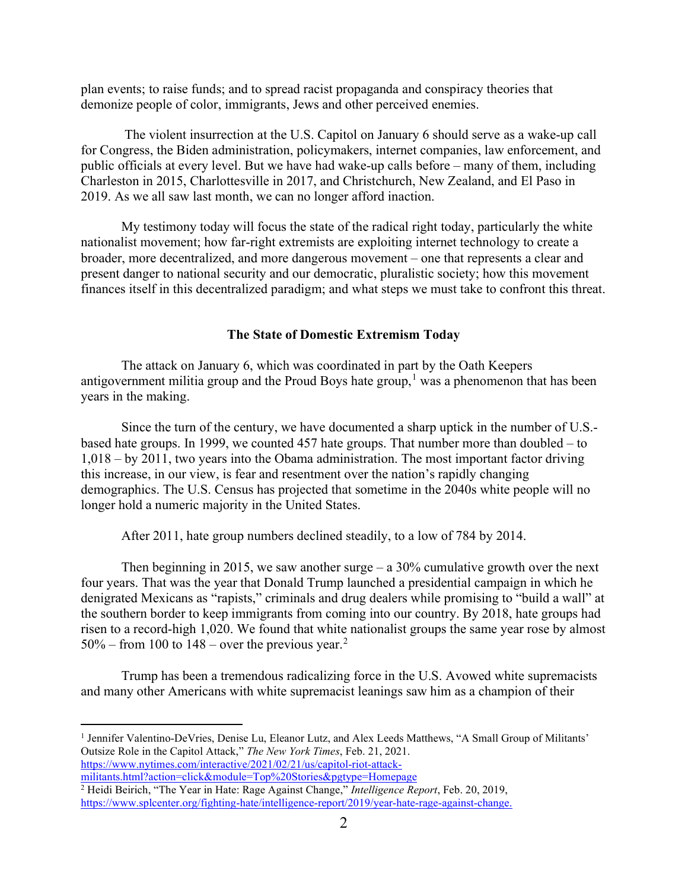plan events; to raise funds; and to spread racist propaganda and conspiracy theories that demonize people of color, immigrants, Jews and other perceived enemies.

 The violent insurrection at the U.S. Capitol on January 6 should serve as a wake-up call for Congress, the Biden administration, policymakers, internet companies, law enforcement, and public officials at every level. But we have had wake-up calls before – many of them, including Charleston in 2015, Charlottesville in 2017, and Christchurch, New Zealand, and El Paso in 2019. As we all saw last month, we can no longer afford inaction.

My testimony today will focus the state of the radical right today, particularly the white nationalist movement; how far-right extremists are exploiting internet technology to create a broader, more decentralized, and more dangerous movement – one that represents a clear and present danger to national security and our democratic, pluralistic society; how this movement finances itself in this decentralized paradigm; and what steps we must take to confront this threat.

#### The State of Domestic Extremism Today

 The attack on January 6, which was coordinated in part by the Oath Keepers antigovernment militia group and the Proud Boys hate group,<sup>1</sup> was a phenomenon that has been years in the making.

Since the turn of the century, we have documented a sharp uptick in the number of U.S. based hate groups. In 1999, we counted 457 hate groups. That number more than doubled – to 1,018 – by 2011, two years into the Obama administration. The most important factor driving this increase, in our view, is fear and resentment over the nation's rapidly changing demographics. The U.S. Census has projected that sometime in the 2040s white people will no longer hold a numeric majority in the United States.

After 2011, hate group numbers declined steadily, to a low of 784 by 2014.

Then beginning in 2015, we saw another surge  $-$  a 30% cumulative growth over the next four years. That was the year that Donald Trump launched a presidential campaign in which he denigrated Mexicans as "rapists," criminals and drug dealers while promising to "build a wall" at the southern border to keep immigrants from coming into our country. By 2018, hate groups had risen to a record-high 1,020. We found that white nationalist groups the same year rose by almost 50% – from 100 to 148 – over the previous year.<sup>2</sup>

Trump has been a tremendous radicalizing force in the U.S. Avowed white supremacists and many other Americans with white supremacist leanings saw him as a champion of their

<sup>1</sup> Jennifer Valentino-DeVries, Denise Lu, Eleanor Lutz, and Alex Leeds Matthews, "A Small Group of Militants' Outsize Role in the Capitol Attack," The New York Times, Feb. 21, 2021. https://www.nytimes.com/interactive/2021/02/21/us/capitol-riot-attackmilitants.html?action=click&module=Top%20Stories&pgtype=Homepage

<sup>&</sup>lt;sup>2</sup> Heidi Beirich, "The Year in Hate: Rage Against Change," *Intelligence Report*, Feb. 20, 2019, https://www.splcenter.org/fighting-hate/intelligence-report/2019/year-hate-rage-against-change.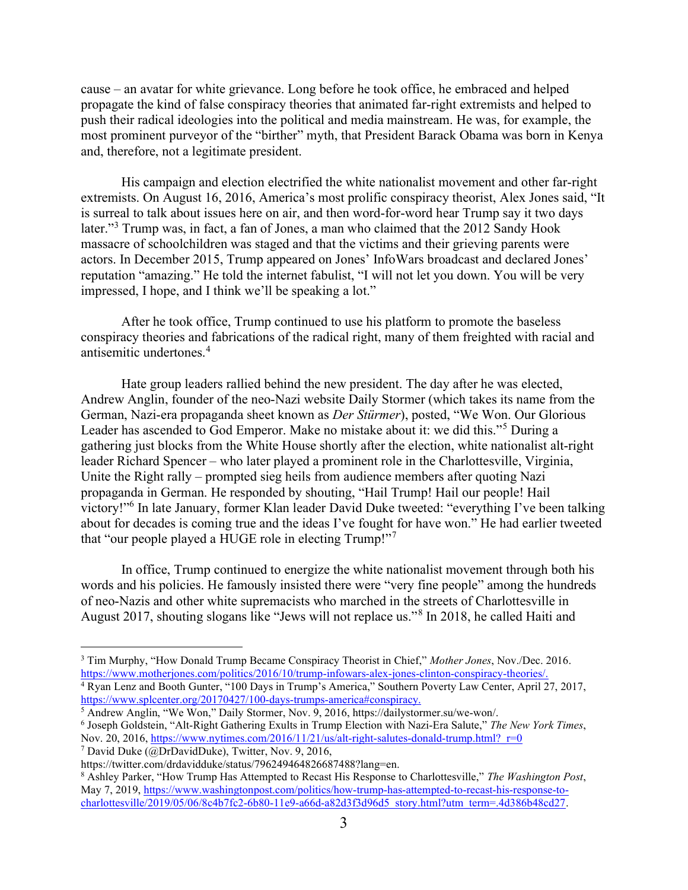cause – an avatar for white grievance. Long before he took office, he embraced and helped propagate the kind of false conspiracy theories that animated far-right extremists and helped to push their radical ideologies into the political and media mainstream. He was, for example, the most prominent purveyor of the "birther" myth, that President Barack Obama was born in Kenya and, therefore, not a legitimate president.

His campaign and election electrified the white nationalist movement and other far-right extremists. On August 16, 2016, America's most prolific conspiracy theorist, Alex Jones said, "It is surreal to talk about issues here on air, and then word-for-word hear Trump say it two days later."<sup>3</sup> Trump was, in fact, a fan of Jones, a man who claimed that the 2012 Sandy Hook massacre of schoolchildren was staged and that the victims and their grieving parents were actors. In December 2015, Trump appeared on Jones' InfoWars broadcast and declared Jones' reputation "amazing." He told the internet fabulist, "I will not let you down. You will be very impressed, I hope, and I think we'll be speaking a lot."

After he took office, Trump continued to use his platform to promote the baseless conspiracy theories and fabrications of the radical right, many of them freighted with racial and antisemitic undertones.<sup>4</sup>

Hate group leaders rallied behind the new president. The day after he was elected, Andrew Anglin, founder of the neo-Nazi website Daily Stormer (which takes its name from the German, Nazi-era propaganda sheet known as Der Stürmer), posted, "We Won. Our Glorious Leader has ascended to God Emperor. Make no mistake about it: we did this."<sup>5</sup> During a gathering just blocks from the White House shortly after the election, white nationalist alt-right leader Richard Spencer – who later played a prominent role in the Charlottesville, Virginia, Unite the Right rally – prompted sieg heils from audience members after quoting Nazi propaganda in German. He responded by shouting, "Hail Trump! Hail our people! Hail victory!"<sup>6</sup> In late January, former Klan leader David Duke tweeted: "everything I've been talking about for decades is coming true and the ideas I've fought for have won." He had earlier tweeted that "our people played a HUGE role in electing Trump!"7

In office, Trump continued to energize the white nationalist movement through both his words and his policies. He famously insisted there were "very fine people" among the hundreds of neo-Nazis and other white supremacists who marched in the streets of Charlottesville in August 2017, shouting slogans like "Jews will not replace us."<sup>8</sup> In 2018, he called Haiti and

<sup>&</sup>lt;sup>3</sup> Tim Murphy, "How Donald Trump Became Conspiracy Theorist in Chief," Mother Jones, Nov./Dec. 2016. https://www.motherjones.com/politics/2016/10/trump-infowars-alex-jones-clinton-conspiracy-theories/. 4 Ryan Lenz and Booth Gunter, "100 Days in Trump's America," Southern Poverty Law Center, April 27, 2017, https://www.splcenter.org/20170427/100-days-trumps-america#conspiracy.

<sup>&</sup>lt;sup>5</sup> Andrew Anglin, "We Won," Daily Stormer, Nov. 9, 2016, https://dailystormer.su/we-won/.

<sup>&</sup>lt;sup>6</sup> Joseph Goldstein, "Alt-Right Gathering Exults in Trump Election with Nazi-Era Salute," The New York Times, Nov. 20, 2016, https://www.nytimes.com/2016/11/21/us/alt-right-salutes-donald-trump.html? $r=0$ 

<sup>&</sup>lt;sup>7</sup> David Duke (@DrDavidDuke), Twitter, Nov. 9, 2016,

https://twitter.com/drdavidduke/status/796249464826687488?lang=en.

<sup>&</sup>lt;sup>8</sup> Ashley Parker, "How Trump Has Attempted to Recast His Response to Charlottesville," The Washington Post, May 7, 2019, https://www.washingtonpost.com/politics/how-trump-has-attempted-to-recast-his-response-tocharlottesville/2019/05/06/8c4b7fc2-6b80-11e9-a66d-a82d3f3d96d5\_story.html?utm\_term=.4d386b48cd27.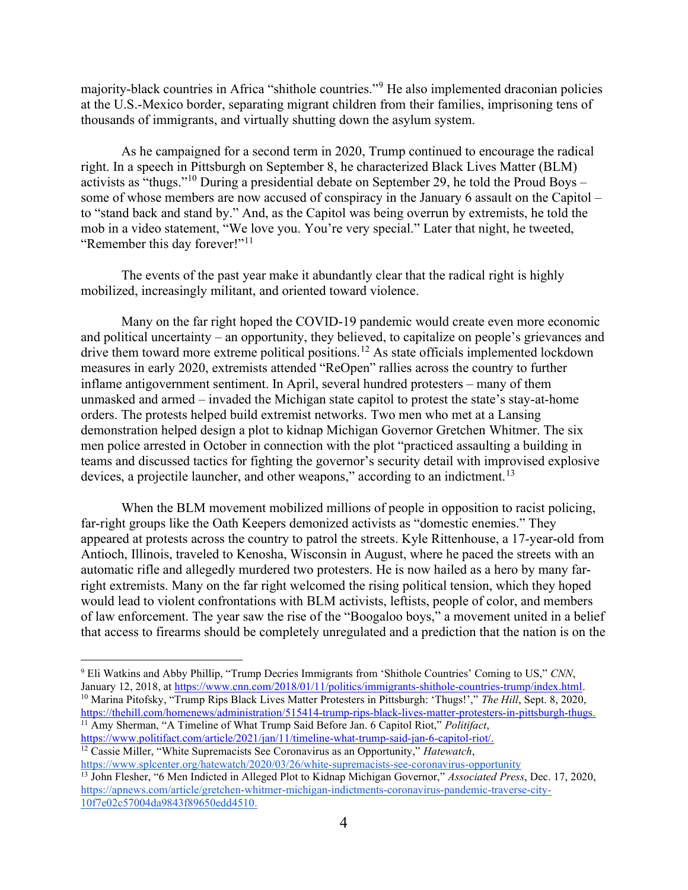majority-black countries in Africa "shithole countries."<sup>9</sup> He also implemented draconian policies at the U.S.-Mexico border, separating migrant children from their families, imprisoning tens of thousands of immigrants, and virtually shutting down the asylum system.

As he campaigned for a second term in 2020, Trump continued to encourage the radical right. In a speech in Pittsburgh on September 8, he characterized Black Lives Matter (BLM) activists as "thugs."<sup>10</sup> During a presidential debate on September 29, he told the Proud Boys – some of whose members are now accused of conspiracy in the January 6 assault on the Capitol – to "stand back and stand by." And, as the Capitol was being overrun by extremists, he told the mob in a video statement, "We love you. You're very special." Later that night, he tweeted, "Remember this day forever!"<sup>11</sup>

The events of the past year make it abundantly clear that the radical right is highly mobilized, increasingly militant, and oriented toward violence.

Many on the far right hoped the COVID-19 pandemic would create even more economic and political uncertainty – an opportunity, they believed, to capitalize on people's grievances and drive them toward more extreme political positions.<sup>12</sup> As state officials implemented lockdown measures in early 2020, extremists attended "ReOpen" rallies across the country to further inflame antigovernment sentiment. In April, several hundred protesters – many of them unmasked and armed – invaded the Michigan state capitol to protest the state's stay-at-home orders. The protests helped build extremist networks. Two men who met at a Lansing demonstration helped design a plot to kidnap Michigan Governor Gretchen Whitmer. The six men police arrested in October in connection with the plot "practiced assaulting a building in teams and discussed tactics for fighting the governor's security detail with improvised explosive devices, a projectile launcher, and other weapons," according to an indictment.<sup>13</sup>

When the BLM movement mobilized millions of people in opposition to racist policing, far-right groups like the Oath Keepers demonized activists as "domestic enemies." They appeared at protests across the country to patrol the streets. Kyle Rittenhouse, a 17-year-old from Antioch, Illinois, traveled to Kenosha, Wisconsin in August, where he paced the streets with an automatic rifle and allegedly murdered two protesters. He is now hailed as a hero by many farright extremists. Many on the far right welcomed the rising political tension, which they hoped would lead to violent confrontations with BLM activists, leftists, people of color, and members of law enforcement. The year saw the rise of the "Boogaloo boys," a movement united in a belief that access to firearms should be completely unregulated and a prediction that the nation is on the

https://www.politifact.com/article/2021/jan/11/timeline-what-trump-said-jan-6-capitol-riot/.

<sup>&</sup>lt;sup>9</sup> Eli Watkins and Abby Phillip, "Trump Decries Immigrants from 'Shithole Countries' Coming to US," CNN, January 12, 2018, at https://www.cnn.com/2018/01/11/politics/immigrants-shithole-countries-trump/index.html. <sup>10</sup> Marina Pitofsky, "Trump Rips Black Lives Matter Protesters in Pittsburgh: 'Thugs!'," The Hill, Sept. 8, 2020, https://thehill.com/homenews/administration/515414-trump-rips-black-lives-matter-protesters-in-pittsburgh-thugs.  $11$  Amy Sherman, "A Timeline of What Trump Said Before Jan. 6 Capitol Riot," *Politifact*,

 $12$  Cassie Miller, "White Supremacists See Coronavirus as an Opportunity," *Hatewatch*, https://www.splcenter.org/hatewatch/2020/03/26/white-supremacists-see-coronavirus-opportunity

<sup>&</sup>lt;sup>13</sup> John Flesher, "6 Men Indicted in Alleged Plot to Kidnap Michigan Governor," Associated Press, Dec. 17, 2020, https://apnews.com/article/gretchen-whitmer-michigan-indictments-coronavirus-pandemic-traverse-city-10f7e02c57004da9843f89650edd4510.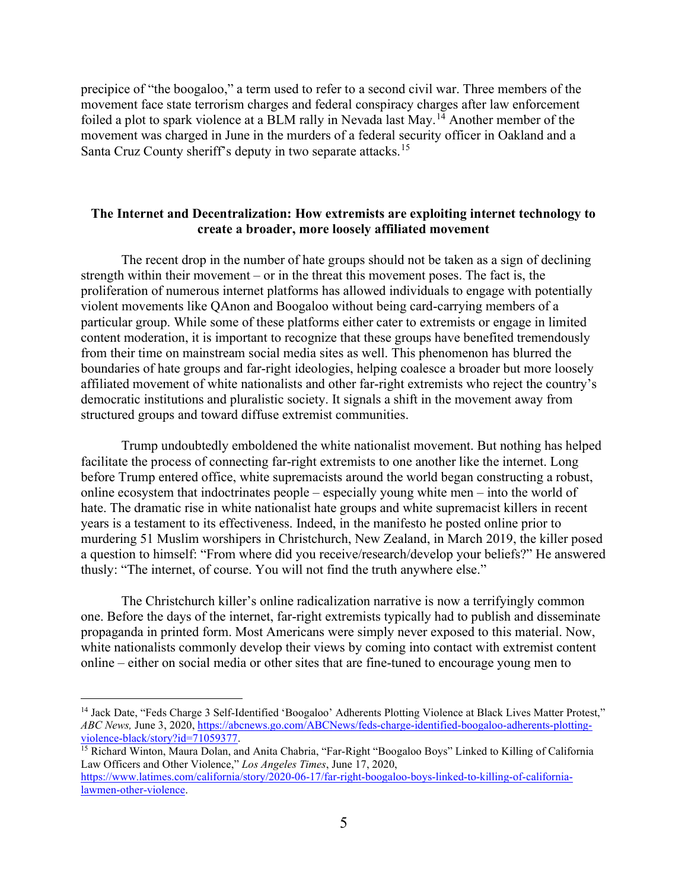precipice of "the boogaloo," a term used to refer to a second civil war. Three members of the movement face state terrorism charges and federal conspiracy charges after law enforcement foiled a plot to spark violence at a BLM rally in Nevada last May.<sup>14</sup> Another member of the movement was charged in June in the murders of a federal security officer in Oakland and a Santa Cruz County sheriff's deputy in two separate attacks.<sup>15</sup>

## The Internet and Decentralization: How extremists are exploiting internet technology to create a broader, more loosely affiliated movement

The recent drop in the number of hate groups should not be taken as a sign of declining strength within their movement – or in the threat this movement poses. The fact is, the proliferation of numerous internet platforms has allowed individuals to engage with potentially violent movements like QAnon and Boogaloo without being card-carrying members of a particular group. While some of these platforms either cater to extremists or engage in limited content moderation, it is important to recognize that these groups have benefited tremendously from their time on mainstream social media sites as well. This phenomenon has blurred the boundaries of hate groups and far-right ideologies, helping coalesce a broader but more loosely affiliated movement of white nationalists and other far-right extremists who reject the country's democratic institutions and pluralistic society. It signals a shift in the movement away from structured groups and toward diffuse extremist communities.

Trump undoubtedly emboldened the white nationalist movement. But nothing has helped facilitate the process of connecting far-right extremists to one another like the internet. Long before Trump entered office, white supremacists around the world began constructing a robust, online ecosystem that indoctrinates people – especially young white men – into the world of hate. The dramatic rise in white nationalist hate groups and white supremacist killers in recent years is a testament to its effectiveness. Indeed, in the manifesto he posted online prior to murdering 51 Muslim worshipers in Christchurch, New Zealand, in March 2019, the killer posed a question to himself: "From where did you receive/research/develop your beliefs?" He answered thusly: "The internet, of course. You will not find the truth anywhere else."

The Christchurch killer's online radicalization narrative is now a terrifyingly common one. Before the days of the internet, far-right extremists typically had to publish and disseminate propaganda in printed form. Most Americans were simply never exposed to this material. Now, white nationalists commonly develop their views by coming into contact with extremist content online – either on social media or other sites that are fine-tuned to encourage young men to

<sup>&</sup>lt;sup>14</sup> Jack Date, "Feds Charge 3 Self-Identified 'Boogaloo' Adherents Plotting Violence at Black Lives Matter Protest," ABC News, June 3, 2020, https://abcnews.go.com/ABCNews/feds-charge-identified-boogaloo-adherents-plottingviolence-black/story?id=71059377.

<sup>&</sup>lt;sup>15</sup> Richard Winton, Maura Dolan, and Anita Chabria, "Far-Right "Boogaloo Boys" Linked to Killing of California Law Officers and Other Violence," Los Angeles Times, June 17, 2020, https://www.latimes.com/california/story/2020-06-17/far-right-boogaloo-boys-linked-to-killing-of-californialawmen-other-violence.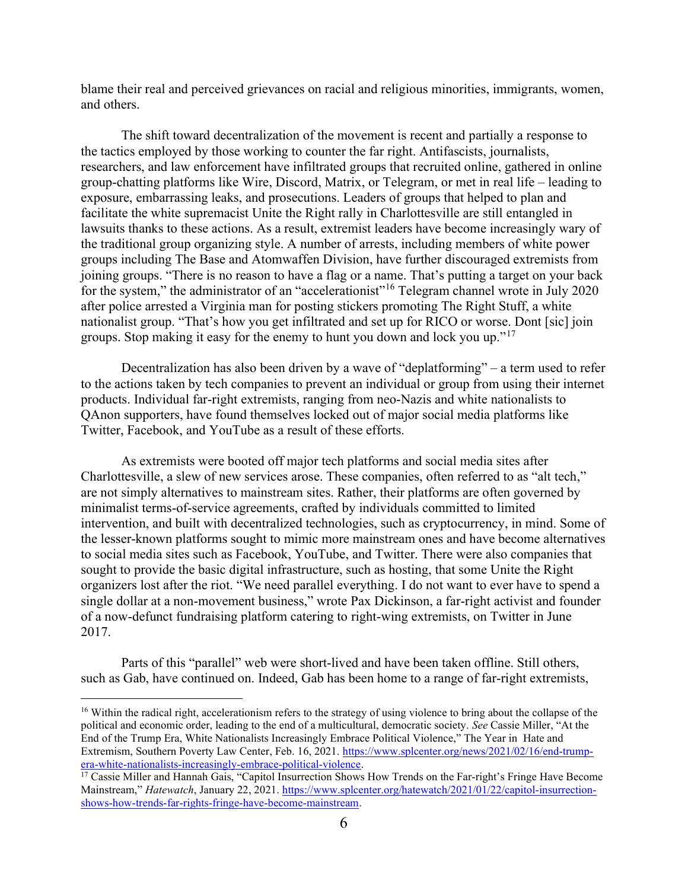blame their real and perceived grievances on racial and religious minorities, immigrants, women, and others.

The shift toward decentralization of the movement is recent and partially a response to the tactics employed by those working to counter the far right. Antifascists, journalists, researchers, and law enforcement have infiltrated groups that recruited online, gathered in online group-chatting platforms like Wire, Discord, Matrix, or Telegram, or met in real life – leading to exposure, embarrassing leaks, and prosecutions. Leaders of groups that helped to plan and facilitate the white supremacist Unite the Right rally in Charlottesville are still entangled in lawsuits thanks to these actions. As a result, extremist leaders have become increasingly wary of the traditional group organizing style. A number of arrests, including members of white power groups including The Base and Atomwaffen Division, have further discouraged extremists from joining groups. "There is no reason to have a flag or a name. That's putting a target on your back for the system," the administrator of an "accelerationist"<sup>16</sup> Telegram channel wrote in July 2020 after police arrested a Virginia man for posting stickers promoting The Right Stuff, a white nationalist group. "That's how you get infiltrated and set up for RICO or worse. Dont [sic] join groups. Stop making it easy for the enemy to hunt you down and lock you up."<sup>17</sup>

Decentralization has also been driven by a wave of "deplatforming" – a term used to refer to the actions taken by tech companies to prevent an individual or group from using their internet products. Individual far-right extremists, ranging from neo-Nazis and white nationalists to QAnon supporters, have found themselves locked out of major social media platforms like Twitter, Facebook, and YouTube as a result of these efforts.

As extremists were booted off major tech platforms and social media sites after Charlottesville, a slew of new services arose. These companies, often referred to as "alt tech," are not simply alternatives to mainstream sites. Rather, their platforms are often governed by minimalist terms-of-service agreements, crafted by individuals committed to limited intervention, and built with decentralized technologies, such as cryptocurrency, in mind. Some of the lesser-known platforms sought to mimic more mainstream ones and have become alternatives to social media sites such as Facebook, YouTube, and Twitter. There were also companies that sought to provide the basic digital infrastructure, such as hosting, that some Unite the Right organizers lost after the riot. "We need parallel everything. I do not want to ever have to spend a single dollar at a non-movement business," wrote Pax Dickinson, a far-right activist and founder of a now-defunct fundraising platform catering to right-wing extremists, on Twitter in June 2017.

Parts of this "parallel" web were short-lived and have been taken offline. Still others, such as Gab, have continued on. Indeed, Gab has been home to a range of far-right extremists,

<sup>&</sup>lt;sup>16</sup> Within the radical right, accelerationism refers to the strategy of using violence to bring about the collapse of the political and economic order, leading to the end of a multicultural, democratic society. See Cassie Miller, "At the End of the Trump Era, White Nationalists Increasingly Embrace Political Violence," The Year in Hate and Extremism, Southern Poverty Law Center, Feb. 16, 2021. https://www.splcenter.org/news/2021/02/16/end-trumpera-white-nationalists-increasingly-embrace-political-violence.

<sup>&</sup>lt;sup>17</sup> Cassie Miller and Hannah Gais, "Capitol Insurrection Shows How Trends on the Far-right's Fringe Have Become Mainstream," Hatewatch, January 22, 2021. https://www.splcenter.org/hatewatch/2021/01/22/capitol-insurrectionshows-how-trends-far-rights-fringe-have-become-mainstream.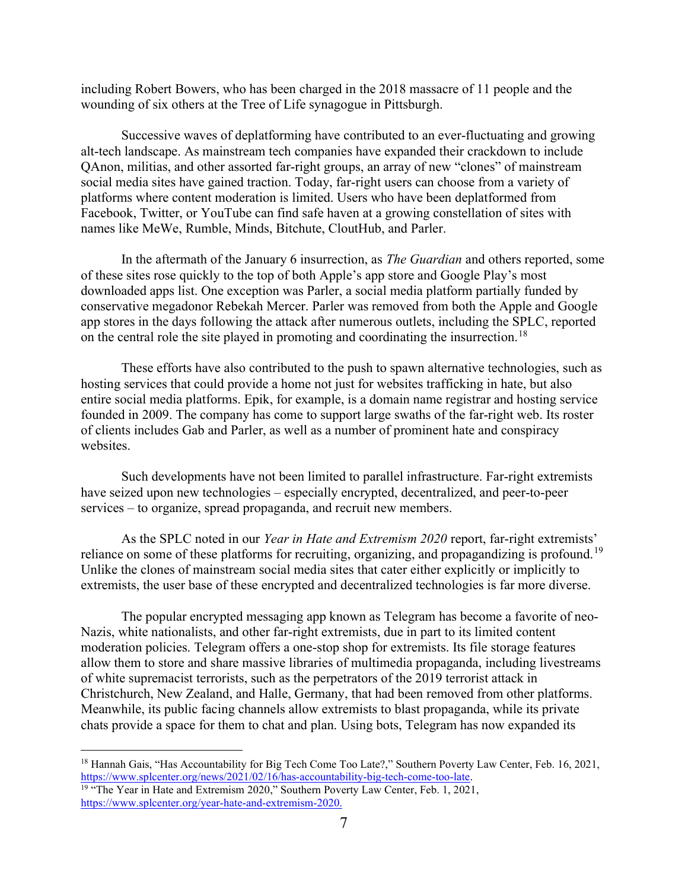including Robert Bowers, who has been charged in the 2018 massacre of 11 people and the wounding of six others at the Tree of Life synagogue in Pittsburgh.

Successive waves of deplatforming have contributed to an ever-fluctuating and growing alt-tech landscape. As mainstream tech companies have expanded their crackdown to include QAnon, militias, and other assorted far-right groups, an array of new "clones" of mainstream social media sites have gained traction. Today, far-right users can choose from a variety of platforms where content moderation is limited. Users who have been deplatformed from Facebook, Twitter, or YouTube can find safe haven at a growing constellation of sites with names like MeWe, Rumble, Minds, Bitchute, CloutHub, and Parler.

In the aftermath of the January 6 insurrection, as *The Guardian* and others reported, some of these sites rose quickly to the top of both Apple's app store and Google Play's most downloaded apps list. One exception was Parler, a social media platform partially funded by conservative megadonor Rebekah Mercer. Parler was removed from both the Apple and Google app stores in the days following the attack after numerous outlets, including the SPLC, reported on the central role the site played in promoting and coordinating the insurrection.<sup>18</sup>

These efforts have also contributed to the push to spawn alternative technologies, such as hosting services that could provide a home not just for websites trafficking in hate, but also entire social media platforms. Epik, for example, is a domain name registrar and hosting service founded in 2009. The company has come to support large swaths of the far-right web. Its roster of clients includes Gab and Parler, as well as a number of prominent hate and conspiracy websites.

Such developments have not been limited to parallel infrastructure. Far-right extremists have seized upon new technologies – especially encrypted, decentralized, and peer-to-peer services – to organize, spread propaganda, and recruit new members.

As the SPLC noted in our Year in Hate and Extremism 2020 report, far-right extremists' reliance on some of these platforms for recruiting, organizing, and propagandizing is profound.<sup>19</sup> Unlike the clones of mainstream social media sites that cater either explicitly or implicitly to extremists, the user base of these encrypted and decentralized technologies is far more diverse.

The popular encrypted messaging app known as Telegram has become a favorite of neo-Nazis, white nationalists, and other far-right extremists, due in part to its limited content moderation policies. Telegram offers a one-stop shop for extremists. Its file storage features allow them to store and share massive libraries of multimedia propaganda, including livestreams of white supremacist terrorists, such as the perpetrators of the 2019 terrorist attack in Christchurch, New Zealand, and Halle, Germany, that had been removed from other platforms. Meanwhile, its public facing channels allow extremists to blast propaganda, while its private chats provide a space for them to chat and plan. Using bots, Telegram has now expanded its

<sup>18</sup> Hannah Gais, "Has Accountability for Big Tech Come Too Late?," Southern Poverty Law Center, Feb. 16, 2021, https://www.splcenter.org/news/2021/02/16/has-accountability-big-tech-come-too-late.

<sup>&</sup>lt;sup>19</sup> "The Year in Hate and Extremism 2020," Southern Poverty Law Center, Feb. 1, 2021, https://www.splcenter.org/year-hate-and-extremism-2020.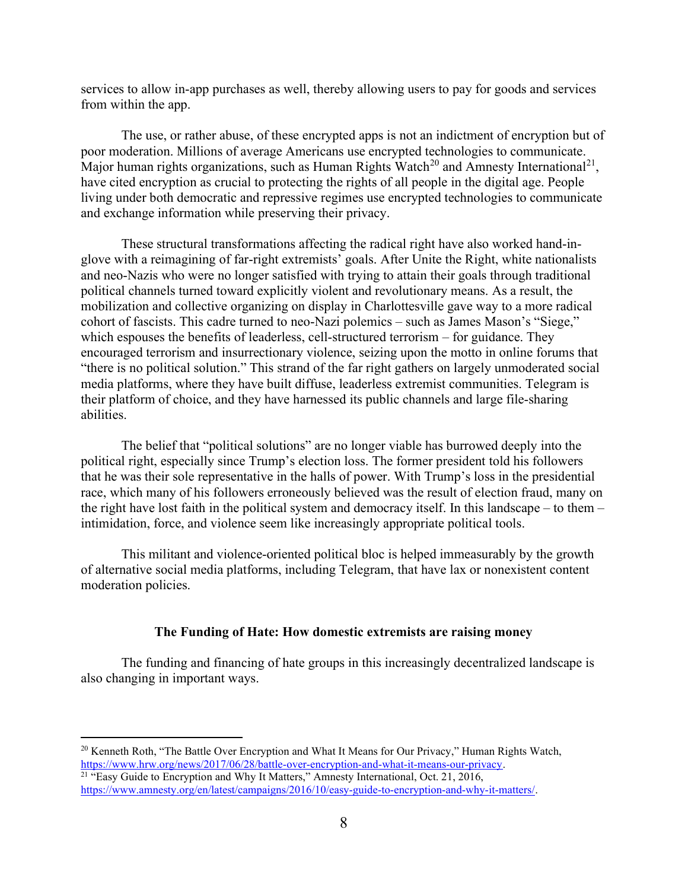services to allow in-app purchases as well, thereby allowing users to pay for goods and services from within the app.

The use, or rather abuse, of these encrypted apps is not an indictment of encryption but of poor moderation. Millions of average Americans use encrypted technologies to communicate. Major human rights organizations, such as Human Rights Watch<sup>20</sup> and Amnesty International<sup>21</sup>, have cited encryption as crucial to protecting the rights of all people in the digital age. People living under both democratic and repressive regimes use encrypted technologies to communicate and exchange information while preserving their privacy.

These structural transformations affecting the radical right have also worked hand-inglove with a reimagining of far-right extremists' goals. After Unite the Right, white nationalists and neo-Nazis who were no longer satisfied with trying to attain their goals through traditional political channels turned toward explicitly violent and revolutionary means. As a result, the mobilization and collective organizing on display in Charlottesville gave way to a more radical cohort of fascists. This cadre turned to neo-Nazi polemics – such as James Mason's "Siege," which espouses the benefits of leaderless, cell-structured terrorism – for guidance. They encouraged terrorism and insurrectionary violence, seizing upon the motto in online forums that "there is no political solution." This strand of the far right gathers on largely unmoderated social media platforms, where they have built diffuse, leaderless extremist communities. Telegram is their platform of choice, and they have harnessed its public channels and large file-sharing abilities.

The belief that "political solutions" are no longer viable has burrowed deeply into the political right, especially since Trump's election loss. The former president told his followers that he was their sole representative in the halls of power. With Trump's loss in the presidential race, which many of his followers erroneously believed was the result of election fraud, many on the right have lost faith in the political system and democracy itself. In this landscape – to them – intimidation, force, and violence seem like increasingly appropriate political tools.

This militant and violence-oriented political bloc is helped immeasurably by the growth of alternative social media platforms, including Telegram, that have lax or nonexistent content moderation policies.

#### The Funding of Hate: How domestic extremists are raising money

The funding and financing of hate groups in this increasingly decentralized landscape is also changing in important ways.

<sup>&</sup>lt;sup>20</sup> Kenneth Roth, "The Battle Over Encryption and What It Means for Our Privacy," Human Rights Watch, https://www.hrw.org/news/2017/06/28/battle-over-encryption-and-what-it-means-our-privacy. <sup>21</sup> "Easy Guide to Encryption and Why It Matters," Amnesty International, Oct. 21, 2016,

https://www.amnesty.org/en/latest/campaigns/2016/10/easy-guide-to-encryption-and-why-it-matters/.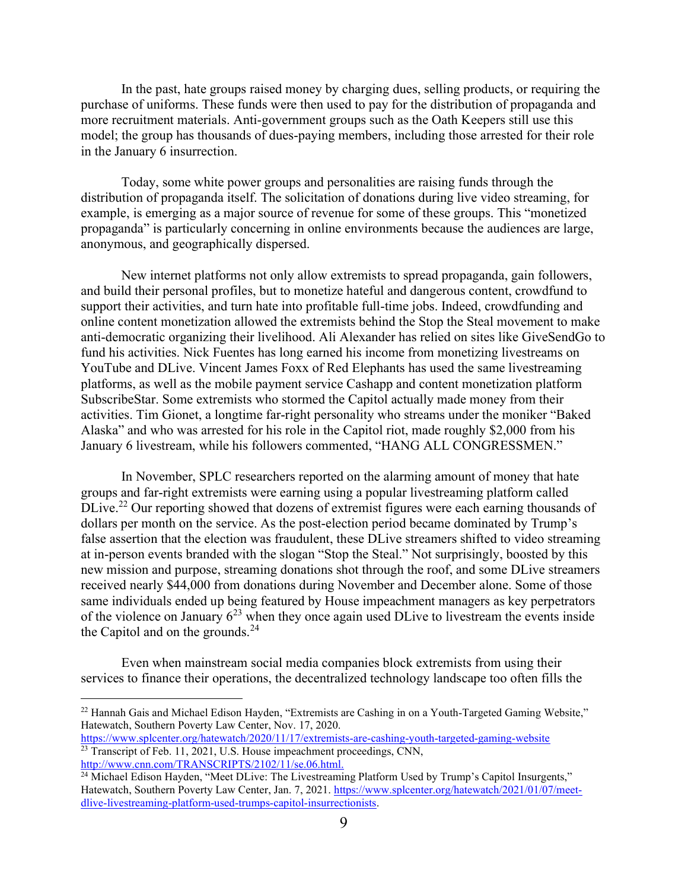In the past, hate groups raised money by charging dues, selling products, or requiring the purchase of uniforms. These funds were then used to pay for the distribution of propaganda and more recruitment materials. Anti-government groups such as the Oath Keepers still use this model; the group has thousands of dues-paying members, including those arrested for their role in the January 6 insurrection.

Today, some white power groups and personalities are raising funds through the distribution of propaganda itself. The solicitation of donations during live video streaming, for example, is emerging as a major source of revenue for some of these groups. This "monetized propaganda" is particularly concerning in online environments because the audiences are large, anonymous, and geographically dispersed.

New internet platforms not only allow extremists to spread propaganda, gain followers, and build their personal profiles, but to monetize hateful and dangerous content, crowdfund to support their activities, and turn hate into profitable full-time jobs. Indeed, crowdfunding and online content monetization allowed the extremists behind the Stop the Steal movement to make anti-democratic organizing their livelihood. Ali Alexander has relied on sites like GiveSendGo to fund his activities. Nick Fuentes has long earned his income from monetizing livestreams on YouTube and DLive. Vincent James Foxx of Red Elephants has used the same livestreaming platforms, as well as the mobile payment service Cashapp and content monetization platform SubscribeStar. Some extremists who stormed the Capitol actually made money from their activities. Tim Gionet, a longtime far-right personality who streams under the moniker "Baked Alaska" and who was arrested for his role in the Capitol riot, made roughly \$2,000 from his January 6 livestream, while his followers commented, "HANG ALL CONGRESSMEN."

In November, SPLC researchers reported on the alarming amount of money that hate groups and far-right extremists were earning using a popular livestreaming platform called DLive.<sup>22</sup> Our reporting showed that dozens of extremist figures were each earning thousands of dollars per month on the service. As the post-election period became dominated by Trump's false assertion that the election was fraudulent, these DLive streamers shifted to video streaming at in-person events branded with the slogan "Stop the Steal." Not surprisingly, boosted by this new mission and purpose, streaming donations shot through the roof, and some DLive streamers received nearly \$44,000 from donations during November and December alone. Some of those same individuals ended up being featured by House impeachment managers as key perpetrators of the violence on January  $6^{23}$  when they once again used DLive to livestream the events inside the Capitol and on the grounds. $^{24}$ 

Even when mainstream social media companies block extremists from using their services to finance their operations, the decentralized technology landscape too often fills the

<sup>&</sup>lt;sup>22</sup> Hannah Gais and Michael Edison Hayden, "Extremists are Cashing in on a Youth-Targeted Gaming Website," Hatewatch, Southern Poverty Law Center, Nov. 17, 2020.

https://www.splcenter.org/hatewatch/2020/11/17/extremists-are-cashing-youth-targeted-gaming-website <sup>23</sup> Transcript of Feb. 11, 2021, U.S. House impeachment proceedings, CNN, http://www.cnn.com/TRANSCRIPTS/2102/11/se.06.html.

<sup>&</sup>lt;sup>24</sup> Michael Edison Hayden, "Meet DLive: The Livestreaming Platform Used by Trump's Capitol Insurgents," Hatewatch, Southern Poverty Law Center, Jan. 7, 2021. https://www.splcenter.org/hatewatch/2021/01/07/meetdlive-livestreaming-platform-used-trumps-capitol-insurrectionists.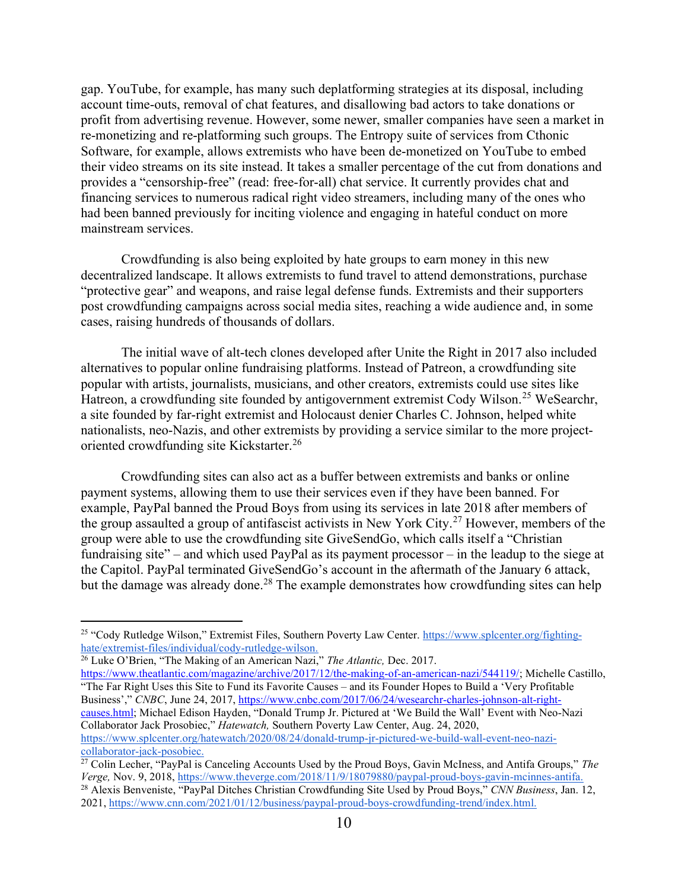gap. YouTube, for example, has many such deplatforming strategies at its disposal, including account time-outs, removal of chat features, and disallowing bad actors to take donations or profit from advertising revenue. However, some newer, smaller companies have seen a market in re-monetizing and re-platforming such groups. The Entropy suite of services from Cthonic Software, for example, allows extremists who have been de-monetized on YouTube to embed their video streams on its site instead. It takes a smaller percentage of the cut from donations and provides a "censorship-free" (read: free-for-all) chat service. It currently provides chat and financing services to numerous radical right video streamers, including many of the ones who had been banned previously for inciting violence and engaging in hateful conduct on more mainstream services.

Crowdfunding is also being exploited by hate groups to earn money in this new decentralized landscape. It allows extremists to fund travel to attend demonstrations, purchase "protective gear" and weapons, and raise legal defense funds. Extremists and their supporters post crowdfunding campaigns across social media sites, reaching a wide audience and, in some cases, raising hundreds of thousands of dollars.

The initial wave of alt-tech clones developed after Unite the Right in 2017 also included alternatives to popular online fundraising platforms. Instead of Patreon, a crowdfunding site popular with artists, journalists, musicians, and other creators, extremists could use sites like Hatreon, a crowdfunding site founded by antigovernment extremist Cody Wilson.<sup>25</sup> WeSearchr, a site founded by far-right extremist and Holocaust denier Charles C. Johnson, helped white nationalists, neo-Nazis, and other extremists by providing a service similar to the more projectoriented crowdfunding site Kickstarter.<sup>26</sup>

Crowdfunding sites can also act as a buffer between extremists and banks or online payment systems, allowing them to use their services even if they have been banned. For example, PayPal banned the Proud Boys from using its services in late 2018 after members of the group assaulted a group of antifascist activists in New York City.<sup>27</sup> However, members of the group were able to use the crowdfunding site GiveSendGo, which calls itself a "Christian fundraising site" – and which used PayPal as its payment processor – in the leadup to the siege at the Capitol. PayPal terminated GiveSendGo's account in the aftermath of the January 6 attack, but the damage was already done.<sup>28</sup> The example demonstrates how crowdfunding sites can help

"The Far Right Uses this Site to Fund its Favorite Causes – and its Founder Hopes to Build a 'Very Profitable Business'," CNBC, June 24, 2017, https://www.cnbc.com/2017/06/24/wesearchr-charles-johnson-alt-rightcauses.html; Michael Edison Hayden, "Donald Trump Jr. Pictured at 'We Build the Wall' Event with Neo-Nazi Collaborator Jack Prosobiec," Hatewatch, Southern Poverty Law Center, Aug. 24, 2020, https://www.splcenter.org/hatewatch/2020/08/24/donald-trump-jr-pictured-we-build-wall-event-neo-nazicollaborator-jack-posobiec.

<sup>&</sup>lt;sup>25</sup> "Cody Rutledge Wilson," Extremist Files, Southern Poverty Law Center. https://www.splcenter.org/fightinghate/extremist-files/individual/cody-rutledge-wilson.

 $\frac{26}{26}$  Luke O'Brien, "The Making of an American Nazi," The Atlantic, Dec. 2017. https://www.theatlantic.com/magazine/archive/2017/12/the-making-of-an-american-nazi/544119/; Michelle Castillo,

<sup>&</sup>lt;sup>27</sup> Colin Lecher, "PayPal is Canceling Accounts Used by the Proud Boys, Gavin McIness, and Antifa Groups," The Verge, Nov. 9, 2018, https://www.theverge.com/2018/11/9/18079880/paypal-proud-boys-gavin-mcinnes-antifa.

<sup>&</sup>lt;sup>28</sup> Alexis Benveniste, "PayPal Ditches Christian Crowdfunding Site Used by Proud Boys," CNN Business, Jan. 12, 2021, https://www.cnn.com/2021/01/12/business/paypal-proud-boys-crowdfunding-trend/index.html.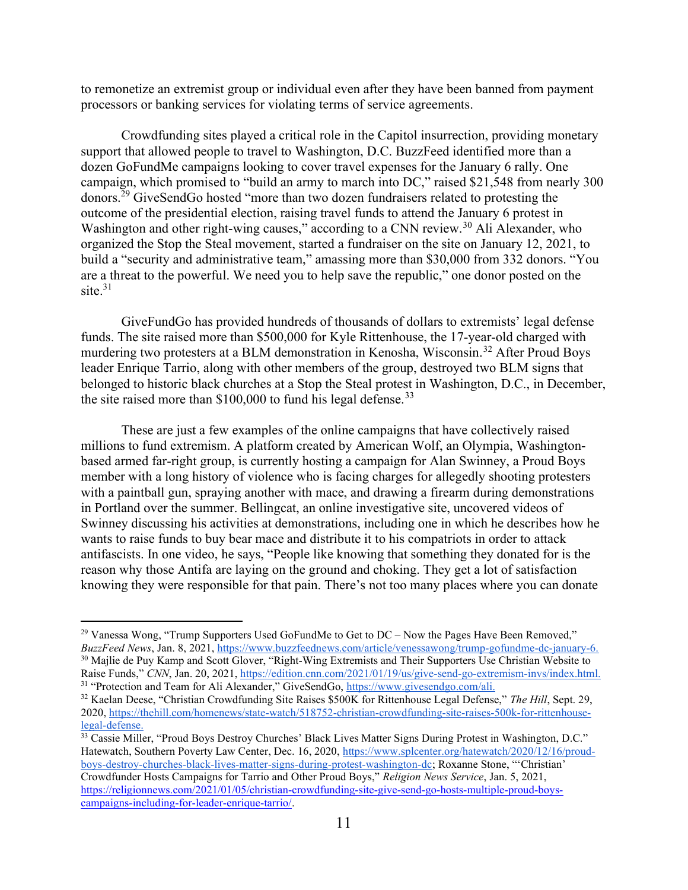to remonetize an extremist group or individual even after they have been banned from payment processors or banking services for violating terms of service agreements.

Crowdfunding sites played a critical role in the Capitol insurrection, providing monetary support that allowed people to travel to Washington, D.C. BuzzFeed identified more than a dozen GoFundMe campaigns looking to cover travel expenses for the January 6 rally. One campaign, which promised to "build an army to march into DC," raised \$21,548 from nearly 300 donors.<sup>29</sup> GiveSendGo hosted "more than two dozen fundraisers related to protesting the outcome of the presidential election, raising travel funds to attend the January 6 protest in Washington and other right-wing causes," according to a CNN review.<sup>30</sup> Ali Alexander, who organized the Stop the Steal movement, started a fundraiser on the site on January 12, 2021, to build a "security and administrative team," amassing more than \$30,000 from 332 donors. "You are a threat to the powerful. We need you to help save the republic," one donor posted on the site. $31$ 

GiveFundGo has provided hundreds of thousands of dollars to extremists' legal defense funds. The site raised more than \$500,000 for Kyle Rittenhouse, the 17-year-old charged with murdering two protesters at a BLM demonstration in Kenosha, Wisconsin.<sup>32</sup> After Proud Boys leader Enrique Tarrio, along with other members of the group, destroyed two BLM signs that belonged to historic black churches at a Stop the Steal protest in Washington, D.C., in December, the site raised more than  $$100,000$  to fund his legal defense.<sup>33</sup>

These are just a few examples of the online campaigns that have collectively raised millions to fund extremism. A platform created by American Wolf, an Olympia, Washingtonbased armed far-right group, is currently hosting a campaign for Alan Swinney, a Proud Boys member with a long history of violence who is facing charges for allegedly shooting protesters with a paintball gun, spraying another with mace, and drawing a firearm during demonstrations in Portland over the summer. Bellingcat, an online investigative site, uncovered videos of Swinney discussing his activities at demonstrations, including one in which he describes how he wants to raise funds to buy bear mace and distribute it to his compatriots in order to attack antifascists. In one video, he says, "People like knowing that something they donated for is the reason why those Antifa are laying on the ground and choking. They get a lot of satisfaction knowing they were responsible for that pain. There's not too many places where you can donate

 $29$  Vanessa Wong, "Trump Supporters Used GoFundMe to Get to DC – Now the Pages Have Been Removed," BuzzFeed News, Jan. 8, 2021, https://www.buzzfeednews.com/article/venessawong/trump-gofundme-dc-january-6. <sup>30</sup> Majlie de Puy Kamp and Scott Glover, "Right-Wing Extremists and Their Supporters Use Christian Website to Raise Funds," CNN, Jan. 20, 2021, https://edition.cnn.com/2021/01/19/us/give-send-go-extremism-invs/index.html. <sup>31</sup> "Protection and Team for Ali Alexander," GiveSendGo, https://www.givesendgo.com/ali.

<sup>&</sup>lt;sup>32</sup> Kaelan Deese, "Christian Crowdfunding Site Raises \$500K for Rittenhouse Legal Defense," The Hill, Sept. 29, 2020, https://thehill.com/homenews/state-watch/518752-christian-crowdfunding-site-raises-500k-for-rittenhouselegal-defense.

<sup>&</sup>lt;sup>33</sup> Cassie Miller, "Proud Boys Destroy Churches' Black Lives Matter Signs During Protest in Washington, D.C." Hatewatch, Southern Poverty Law Center, Dec. 16, 2020, https://www.splcenter.org/hatewatch/2020/12/16/proudboys-destroy-churches-black-lives-matter-signs-during-protest-washington-dc; Roxanne Stone, "'Christian' Crowdfunder Hosts Campaigns for Tarrio and Other Proud Boys," Religion News Service, Jan. 5, 2021, https://religionnews.com/2021/01/05/christian-crowdfunding-site-give-send-go-hosts-multiple-proud-boyscampaigns-including-for-leader-enrique-tarrio/.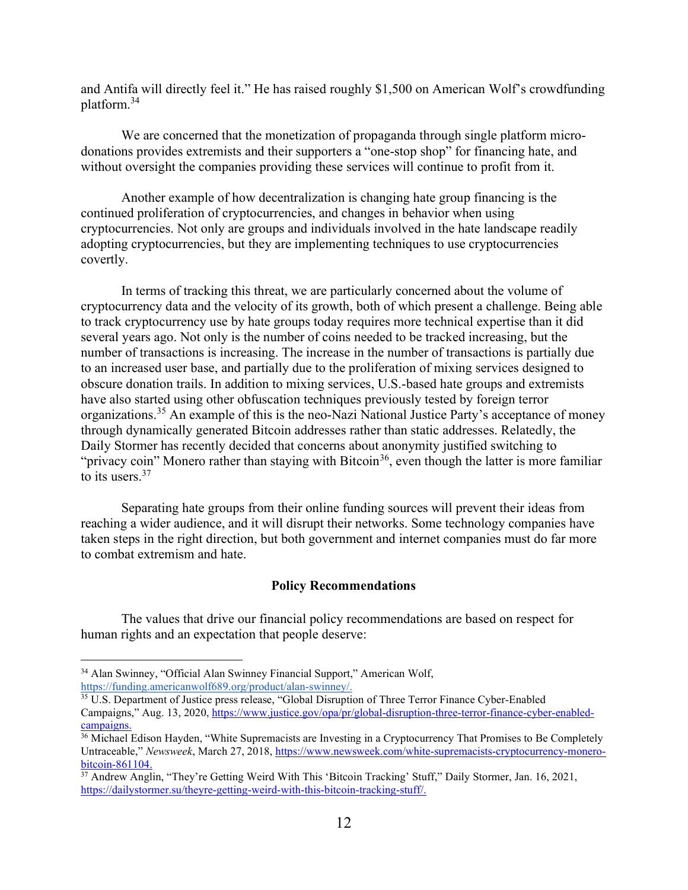and Antifa will directly feel it." He has raised roughly \$1,500 on American Wolf's crowdfunding platform.<sup>34</sup>

We are concerned that the monetization of propaganda through single platform microdonations provides extremists and their supporters a "one-stop shop" for financing hate, and without oversight the companies providing these services will continue to profit from it.

Another example of how decentralization is changing hate group financing is the continued proliferation of cryptocurrencies, and changes in behavior when using cryptocurrencies. Not only are groups and individuals involved in the hate landscape readily adopting cryptocurrencies, but they are implementing techniques to use cryptocurrencies covertly.

In terms of tracking this threat, we are particularly concerned about the volume of cryptocurrency data and the velocity of its growth, both of which present a challenge. Being able to track cryptocurrency use by hate groups today requires more technical expertise than it did several years ago. Not only is the number of coins needed to be tracked increasing, but the number of transactions is increasing. The increase in the number of transactions is partially due to an increased user base, and partially due to the proliferation of mixing services designed to obscure donation trails. In addition to mixing services, U.S.-based hate groups and extremists have also started using other obfuscation techniques previously tested by foreign terror organizations.<sup>35</sup> An example of this is the neo-Nazi National Justice Party's acceptance of money through dynamically generated Bitcoin addresses rather than static addresses. Relatedly, the Daily Stormer has recently decided that concerns about anonymity justified switching to "privacy coin" Monero rather than staying with Bitcoin<sup>36</sup>, even though the latter is more familiar to its users.<sup>37</sup>

Separating hate groups from their online funding sources will prevent their ideas from reaching a wider audience, and it will disrupt their networks. Some technology companies have taken steps in the right direction, but both government and internet companies must do far more to combat extremism and hate.

### Policy Recommendations

The values that drive our financial policy recommendations are based on respect for human rights and an expectation that people deserve:

<sup>34</sup> Alan Swinney, "Official Alan Swinney Financial Support," American Wolf, https://funding.americanwolf689.org/product/alan-swinney/.

<sup>&</sup>lt;sup>35</sup> U.S. Department of Justice press release, "Global Disruption of Three Terror Finance Cyber-Enabled Campaigns," Aug. 13, 2020, https://www.justice.gov/opa/pr/global-disruption-three-terror-finance-cyber-enabledcampaigns.

<sup>&</sup>lt;sup>36</sup> Michael Edison Hayden, "White Supremacists are Investing in a Cryptocurrency That Promises to Be Completely Untraceable," Newsweek, March 27, 2018, https://www.newsweek.com/white-supremacists-cryptocurrency-monerobitcoin-861104.

<sup>37</sup> Andrew Anglin, "They're Getting Weird With This 'Bitcoin Tracking' Stuff," Daily Stormer, Jan. 16, 2021, https://dailystormer.su/theyre-getting-weird-with-this-bitcoin-tracking-stuff/.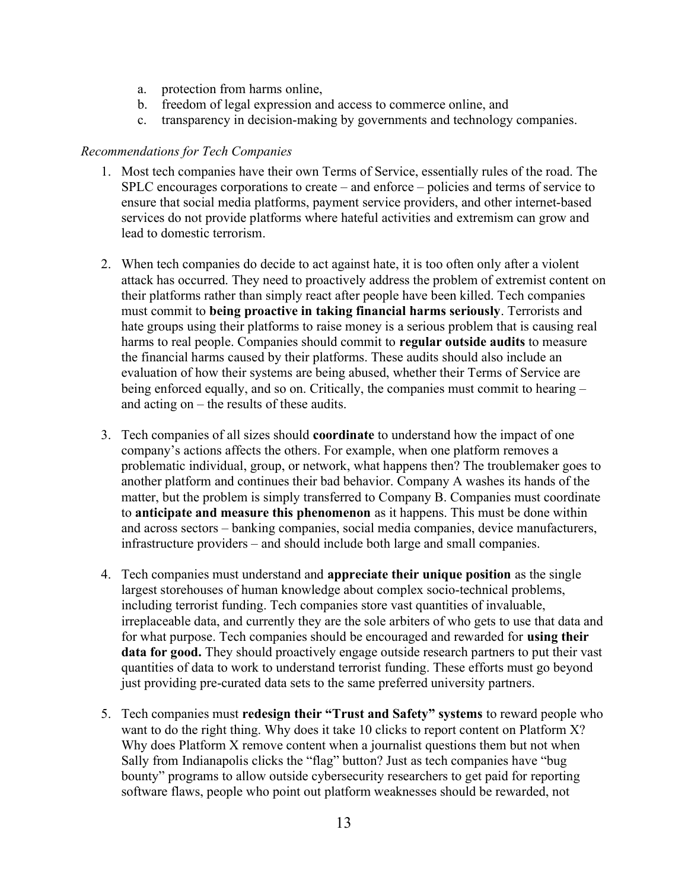- a. protection from harms online,
- b. freedom of legal expression and access to commerce online, and
- c. transparency in decision-making by governments and technology companies.

### Recommendations for Tech Companies

- 1. Most tech companies have their own Terms of Service, essentially rules of the road. The SPLC encourages corporations to create – and enforce – policies and terms of service to ensure that social media platforms, payment service providers, and other internet-based services do not provide platforms where hateful activities and extremism can grow and lead to domestic terrorism.
- 2. When tech companies do decide to act against hate, it is too often only after a violent attack has occurred. They need to proactively address the problem of extremist content on their platforms rather than simply react after people have been killed. Tech companies must commit to being proactive in taking financial harms seriously. Terrorists and hate groups using their platforms to raise money is a serious problem that is causing real harms to real people. Companies should commit to **regular outside audits** to measure the financial harms caused by their platforms. These audits should also include an evaluation of how their systems are being abused, whether their Terms of Service are being enforced equally, and so on. Critically, the companies must commit to hearing – and acting on – the results of these audits.
- 3. Tech companies of all sizes should coordinate to understand how the impact of one company's actions affects the others. For example, when one platform removes a problematic individual, group, or network, what happens then? The troublemaker goes to another platform and continues their bad behavior. Company A washes its hands of the matter, but the problem is simply transferred to Company B. Companies must coordinate to anticipate and measure this phenomenon as it happens. This must be done within and across sectors – banking companies, social media companies, device manufacturers, infrastructure providers – and should include both large and small companies.
- 4. Tech companies must understand and appreciate their unique position as the single largest storehouses of human knowledge about complex socio-technical problems, including terrorist funding. Tech companies store vast quantities of invaluable, irreplaceable data, and currently they are the sole arbiters of who gets to use that data and for what purpose. Tech companies should be encouraged and rewarded for using their data for good. They should proactively engage outside research partners to put their vast quantities of data to work to understand terrorist funding. These efforts must go beyond just providing pre-curated data sets to the same preferred university partners.
- 5. Tech companies must redesign their "Trust and Safety" systems to reward people who want to do the right thing. Why does it take 10 clicks to report content on Platform X? Why does Platform X remove content when a journalist questions them but not when Sally from Indianapolis clicks the "flag" button? Just as tech companies have "bug bounty" programs to allow outside cybersecurity researchers to get paid for reporting software flaws, people who point out platform weaknesses should be rewarded, not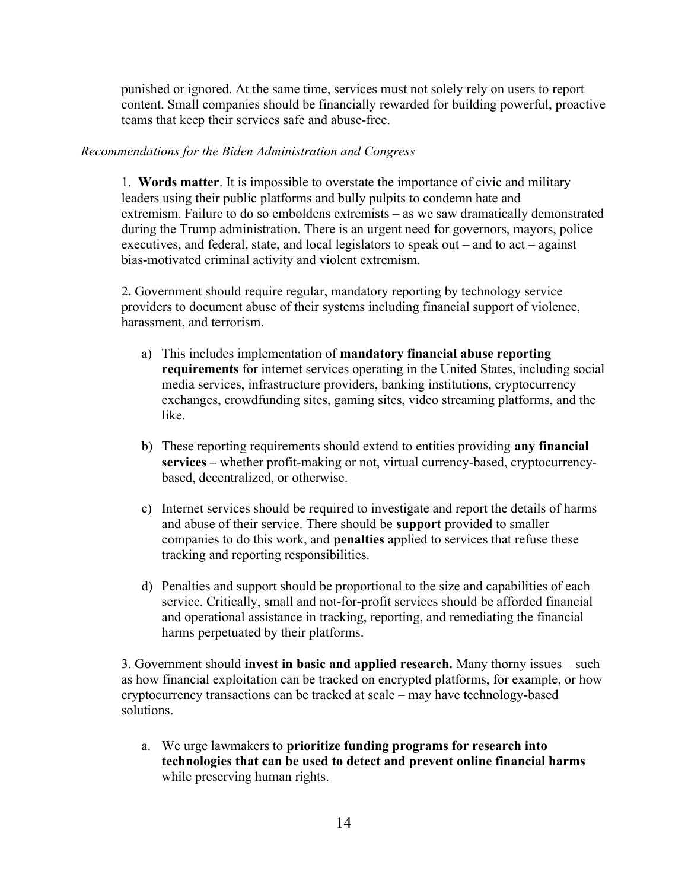punished or ignored. At the same time, services must not solely rely on users to report content. Small companies should be financially rewarded for building powerful, proactive teams that keep their services safe and abuse-free.

### Recommendations for the Biden Administration and Congress

1. Words matter. It is impossible to overstate the importance of civic and military leaders using their public platforms and bully pulpits to condemn hate and extremism. Failure to do so emboldens extremists – as we saw dramatically demonstrated during the Trump administration. There is an urgent need for governors, mayors, police executives, and federal, state, and local legislators to speak out – and to act – against bias-motivated criminal activity and violent extremism.

2. Government should require regular, mandatory reporting by technology service providers to document abuse of their systems including financial support of violence, harassment, and terrorism.

- a) This includes implementation of mandatory financial abuse reporting requirements for internet services operating in the United States, including social media services, infrastructure providers, banking institutions, cryptocurrency exchanges, crowdfunding sites, gaming sites, video streaming platforms, and the like.
- b) These reporting requirements should extend to entities providing any financial services – whether profit-making or not, virtual currency-based, cryptocurrencybased, decentralized, or otherwise.
- c) Internet services should be required to investigate and report the details of harms and abuse of their service. There should be support provided to smaller companies to do this work, and penalties applied to services that refuse these tracking and reporting responsibilities.
- d) Penalties and support should be proportional to the size and capabilities of each service. Critically, small and not-for-profit services should be afforded financial and operational assistance in tracking, reporting, and remediating the financial harms perpetuated by their platforms.

3. Government should invest in basic and applied research. Many thorny issues – such as how financial exploitation can be tracked on encrypted platforms, for example, or how cryptocurrency transactions can be tracked at scale – may have technology-based solutions.

a. We urge lawmakers to prioritize funding programs for research into technologies that can be used to detect and prevent online financial harms while preserving human rights.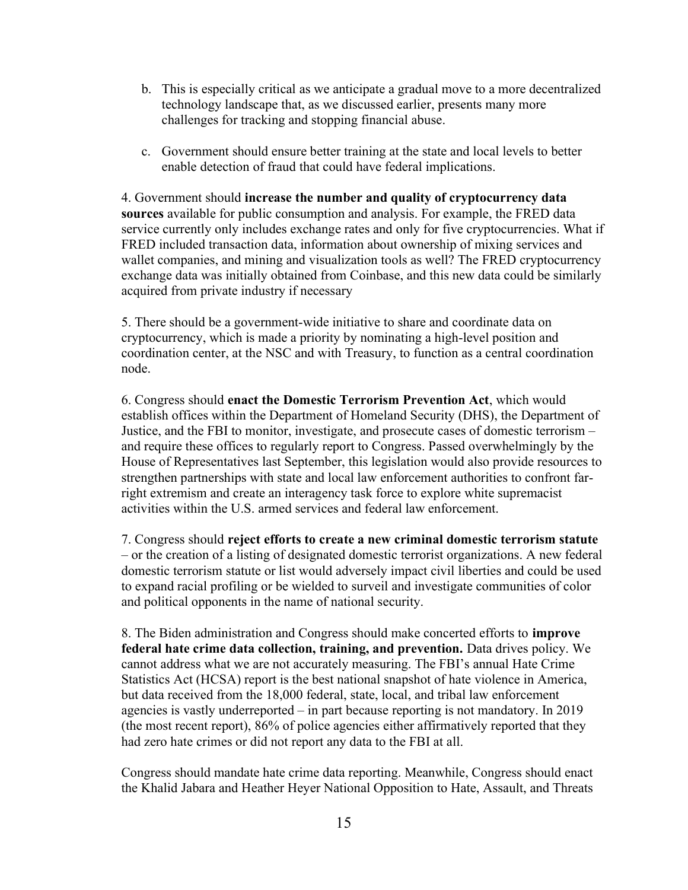- b. This is especially critical as we anticipate a gradual move to a more decentralized technology landscape that, as we discussed earlier, presents many more challenges for tracking and stopping financial abuse.
- c. Government should ensure better training at the state and local levels to better enable detection of fraud that could have federal implications.

4. Government should increase the number and quality of cryptocurrency data sources available for public consumption and analysis. For example, the FRED data service currently only includes exchange rates and only for five cryptocurrencies. What if FRED included transaction data, information about ownership of mixing services and wallet companies, and mining and visualization tools as well? The FRED cryptocurrency exchange data was initially obtained from Coinbase, and this new data could be similarly acquired from private industry if necessary

5. There should be a government-wide initiative to share and coordinate data on cryptocurrency, which is made a priority by nominating a high-level position and coordination center, at the NSC and with Treasury, to function as a central coordination node.

6. Congress should enact the Domestic Terrorism Prevention Act, which would establish offices within the Department of Homeland Security (DHS), the Department of Justice, and the FBI to monitor, investigate, and prosecute cases of domestic terrorism – and require these offices to regularly report to Congress. Passed overwhelmingly by the House of Representatives last September, this legislation would also provide resources to strengthen partnerships with state and local law enforcement authorities to confront farright extremism and create an interagency task force to explore white supremacist activities within the U.S. armed services and federal law enforcement.

7. Congress should reject efforts to create a new criminal domestic terrorism statute – or the creation of a listing of designated domestic terrorist organizations. A new federal domestic terrorism statute or list would adversely impact civil liberties and could be used to expand racial profiling or be wielded to surveil and investigate communities of color and political opponents in the name of national security.

8. The Biden administration and Congress should make concerted efforts to improve federal hate crime data collection, training, and prevention. Data drives policy. We cannot address what we are not accurately measuring. The FBI's annual Hate Crime Statistics Act (HCSA) report is the best national snapshot of hate violence in America, but data received from the 18,000 federal, state, local, and tribal law enforcement agencies is vastly underreported – in part because reporting is not mandatory. In 2019 (the most recent report), 86% of police agencies either affirmatively reported that they had zero hate crimes or did not report any data to the FBI at all.

Congress should mandate hate crime data reporting. Meanwhile, Congress should enact the Khalid Jabara and Heather Heyer National Opposition to Hate, Assault, and Threats